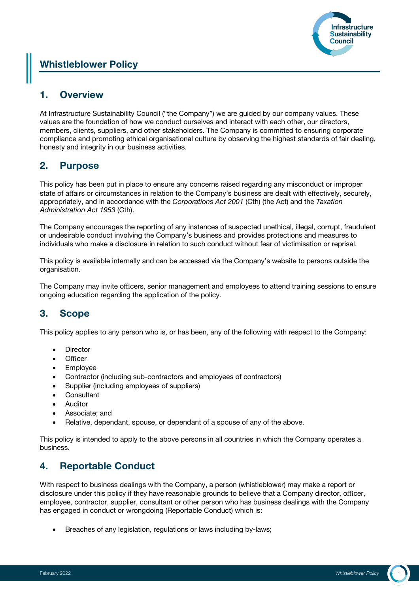

# Whistleblower Policy

# 1. Overview

At Infrastructure Sustainability Council ("the Company") we are guided by our company values. These values are the foundation of how we conduct ourselves and interact with each other, our directors, members, clients, suppliers, and other stakeholders. The Company is committed to ensuring corporate compliance and promoting ethical organisational culture by observing the highest standards of fair dealing, honesty and integrity in our business activities.

#### 2. Purpose

This policy has been put in place to ensure any concerns raised regarding any misconduct or improper state of affairs or circumstances in relation to the Company's business are dealt with effectively, securely, appropriately, and in accordance with the *Corporations Act 2001* (Cth) (the Act) and the *Taxation Administration Act 1953* (Cth).

The Company encourages the reporting of any instances of suspected unethical, illegal, corrupt, fraudulent or undesirable conduct involving the Company's business and provides protections and measures to individuals who make a disclosure in relation to such conduct without fear of victimisation or reprisal.

This policy is available internally and can be accessed via the Company's website to persons outside the organisation.

The Company may invite officers, senior management and employees to attend training sessions to ensure ongoing education regarding the application of the policy.

# 3. Scope

This policy applies to any person who is, or has been, any of the following with respect to the Company:

- **Director**
- Officer
- Employee
- Contractor (including sub-contractors and employees of contractors)
- Supplier (including employees of suppliers)
- **Consultant**
- Auditor
- Associate; and
- Relative, dependant, spouse, or dependant of a spouse of any of the above.

This policy is intended to apply to the above persons in all countries in which the Company operates a business.

# 4. Reportable Conduct

With respect to business dealings with the Company, a person (whistleblower) may make a report or disclosure under this policy if they have reasonable grounds to believe that a Company director, officer, employee, contractor, supplier, consultant or other person who has business dealings with the Company has engaged in conduct or wrongdoing (Reportable Conduct) which is:

Breaches of any legislation, regulations or laws including by-laws: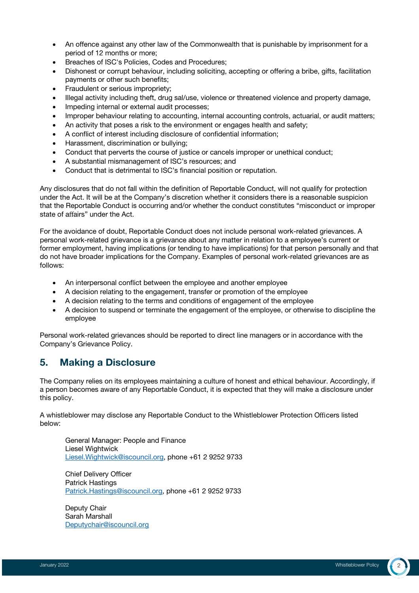- An offence against any other law of the Commonwealth that is punishable by imprisonment for a period of 12 months or more;
- Breaches of ISC's Policies, Codes and Procedures;
- Dishonest or corrupt behaviour, including soliciting, accepting or offering a bribe, gifts, facilitation payments or other such benefits;
- Fraudulent or serious impropriety;
- Illegal activity including theft, drug sal/use, violence or threatened violence and property damage,
- Impeding internal or external audit processes;
- Improper behaviour relating to accounting, internal accounting controls, actuarial, or audit matters;
- An activity that poses a risk to the environment or engages health and safety;
- A conflict of interest including disclosure of confidential information;
- Harassment, discrimination or bullying;
- Conduct that perverts the course of justice or cancels improper or unethical conduct;
- A substantial mismanagement of ISC's resources; and
- Conduct that is detrimental to ISC's financial position or reputation.

Any disclosures that do not fall within the definition of Reportable Conduct, will not qualify for protection under the Act. It will be at the Company's discretion whether it considers there is a reasonable suspicion that the Reportable Conduct is occurring and/or whether the conduct constitutes "misconduct or improper state of affairs" under the Act.

For the avoidance of doubt, Reportable Conduct does not include personal work-related grievances. A personal work-related grievance is a grievance about any matter in relation to a employee's current or former employment, having implications (or tending to have implications) for that person personally and that do not have broader implications for the Company. Examples of personal work-related grievances are as follows:

- An interpersonal conflict between the employee and another employee
- A decision relating to the engagement, transfer or promotion of the employee
- A decision relating to the terms and conditions of engagement of the employee
- A decision to suspend or terminate the engagement of the employee, or otherwise to discipline the employee

Personal work-related grievances should be reported to direct line managers or in accordance with the Company's Grievance Policy.

#### 5. Making a Disclosure

The Company relies on its employees maintaining a culture of honest and ethical behaviour. Accordingly, if a person becomes aware of any Reportable Conduct, it is expected that they will make a disclosure under this policy.

A whistleblower may disclose any Reportable Conduct to the Whistleblower Protection Officers listed below:

General Manager: People and Finance Liesel Wightwick Liesel.Wightwick@iscouncil.org, phone +61 2 9252 9733

Chief Delivery Officer Patrick Hastings Patrick.Hastings@iscouncil.org, phone +61 2 9252 9733

Deputy Chair Sarah Marshall Deputychair@iscouncil.org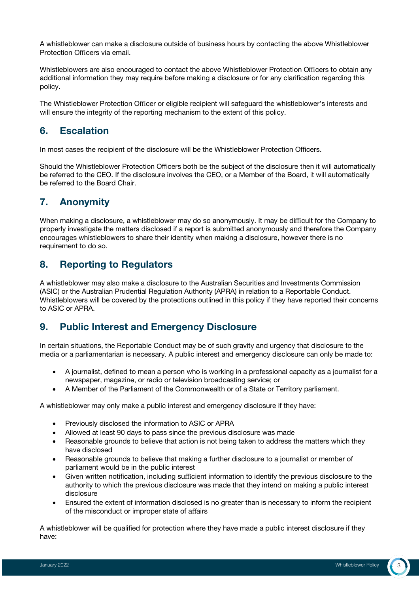A whistleblower can make a disclosure outside of business hours by contacting the above Whistleblower Protection Officers via email.

Whistleblowers are also encouraged to contact the above Whistleblower Protection Officers to obtain any additional information they may require before making a disclosure or for any clarification regarding this policy.

The Whistleblower Protection Officer or eligible recipient will safeguard the whistleblower's interests and will ensure the integrity of the reporting mechanism to the extent of this policy.

# 6. Escalation

In most cases the recipient of the disclosure will be the Whistleblower Protection Officers.

Should the Whistleblower Protection Officers both be the subject of the disclosure then it will automatically be referred to the CEO. If the disclosure involves the CEO, or a Member of the Board, it will automatically be referred to the Board Chair.

# 7. Anonymity

When making a disclosure, a whistleblower may do so anonymously. It may be difficult for the Company to properly investigate the matters disclosed if a report is submitted anonymously and therefore the Company encourages whistleblowers to share their identity when making a disclosure, however there is no requirement to do so.

#### 8. Reporting to Regulators

A whistleblower may also make a disclosure to the Australian Securities and Investments Commission (ASIC) or the Australian Prudential Regulation Authority (APRA) in relation to a Reportable Conduct. Whistleblowers will be covered by the protections outlined in this policy if they have reported their concerns to ASIC or APRA.

# 9. Public Interest and Emergency Disclosure

In certain situations, the Reportable Conduct may be of such gravity and urgency that disclosure to the media or a parliamentarian is necessary. A public interest and emergency disclosure can only be made to:

- A journalist, defined to mean a person who is working in a professional capacity as a journalist for a newspaper, magazine, or radio or television broadcasting service; or
- A Member of the Parliament of the Commonwealth or of a State or Territory parliament.

A whistleblower may only make a public interest and emergency disclosure if they have:

- Previously disclosed the information to ASIC or APRA
- Allowed at least 90 days to pass since the previous disclosure was made
- Reasonable grounds to believe that action is not being taken to address the matters which they have disclosed
- Reasonable grounds to believe that making a further disclosure to a journalist or member of parliament would be in the public interest
- Given written notification, including sufficient information to identify the previous disclosure to the authority to which the previous disclosure was made that they intend on making a public interest disclosure
- Ensured the extent of information disclosed is no greater than is necessary to inform the recipient of the misconduct or improper state of affairs

A whistleblower will be qualified for protection where they have made a public interest disclosure if they have: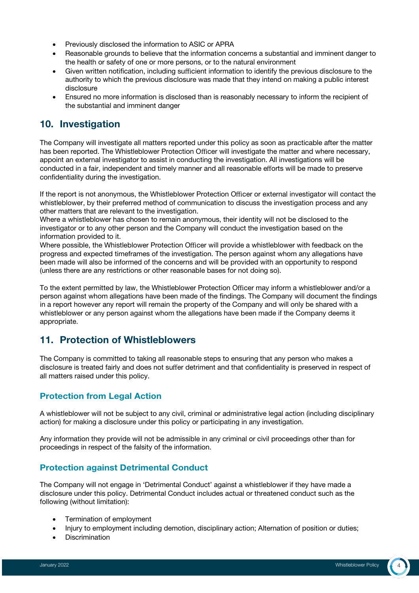- Previously disclosed the information to ASIC or APRA
- Reasonable grounds to believe that the information concerns a substantial and imminent danger to the health or safety of one or more persons, or to the natural environment
- Given written notification, including sufficient information to identify the previous disclosure to the authority to which the previous disclosure was made that they intend on making a public interest disclosure
- Ensured no more information is disclosed than is reasonably necessary to inform the recipient of the substantial and imminent danger

# 10. Investigation

The Company will investigate all matters reported under this policy as soon as practicable after the matter has been reported. The Whistleblower Protection Officer will investigate the matter and where necessary, appoint an external investigator to assist in conducting the investigation. All investigations will be conducted in a fair, independent and timely manner and all reasonable efforts will be made to preserve confidentiality during the investigation.

If the report is not anonymous, the Whistleblower Protection Officer or external investigator will contact the whistleblower, by their preferred method of communication to discuss the investigation process and any other matters that are relevant to the investigation.

Where a whistleblower has chosen to remain anonymous, their identity will not be disclosed to the investigator or to any other person and the Company will conduct the investigation based on the information provided to it.

Where possible, the Whistleblower Protection Officer will provide a whistleblower with feedback on the progress and expected timeframes of the investigation. The person against whom any allegations have been made will also be informed of the concerns and will be provided with an opportunity to respond (unless there are any restrictions or other reasonable bases for not doing so).

To the extent permitted by law, the Whistleblower Protection Officer may inform a whistleblower and/or a person against whom allegations have been made of the findings. The Company will document the findings in a report however any report will remain the property of the Company and will only be shared with a whistleblower or any person against whom the allegations have been made if the Company deems it appropriate.

# 11. Protection of Whistleblowers

The Company is committed to taking all reasonable steps to ensuring that any person who makes a disclosure is treated fairly and does not suffer detriment and that confidentiality is preserved in respect of all matters raised under this policy.

#### Protection from Legal Action

A whistleblower will not be subject to any civil, criminal or administrative legal action (including disciplinary action) for making a disclosure under this policy or participating in any investigation.

Any information they provide will not be admissible in any criminal or civil proceedings other than for proceedings in respect of the falsity of the information.

#### Protection against Detrimental Conduct

The Company will not engage in 'Detrimental Conduct' against a whistleblower if they have made a disclosure under this policy. Detrimental Conduct includes actual or threatened conduct such as the following (without limitation):

- Termination of employment
- Injury to employment including demotion, disciplinary action; Alternation of position or duties;
- Discrimination